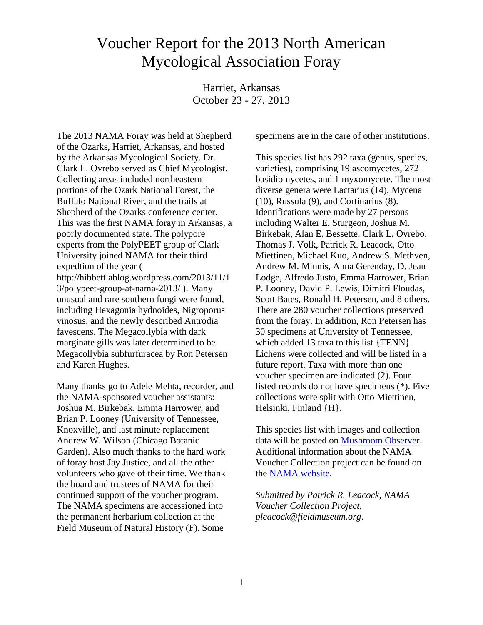## Voucher Report for the 2013 North American Mycological Association Foray

Harriet, Arkansas October 23 - 27, 2013

The 2013 NAMA Foray was held at Shepherd of the Ozarks, Harriet, Arkansas, and hosted by the Arkansas Mycological Society. Dr. Clark L. Ovrebo served as Chief Mycologist. Collecting areas included northeastern portions of the Ozark National Forest, the Buffalo National River, and the trails at Shepherd of the Ozarks conference center. This was the first NAMA foray in Arkansas, a poorly documented state. The polypore experts from the PolyPEET group of Clark University joined NAMA for their third expedtion of the year ( http://hibbettlablog.wordpress.com/2013/11/1 3/polypeet-group-at-nama-2013/ ). Many unusual and rare southern fungi were found, including Hexagonia hydnoides, Nigroporus vinosus, and the newly described Antrodia favescens. The Megacollybia with dark marginate gills was later determined to be Megacollybia subfurfuracea by Ron Petersen and Karen Hughes.

Many thanks go to Adele Mehta, recorder, and the NAMA-sponsored voucher assistants: Joshua M. Birkebak, Emma Harrower, and Brian P. Looney (University of Tennessee, Knoxville), and last minute replacement Andrew W. Wilson (Chicago Botanic Garden). Also much thanks to the hard work of foray host Jay Justice, and all the other volunteers who gave of their time. We thank the board and trustees of NAMA for their continued support of the voucher program. The NAMA specimens are accessioned into the permanent herbarium collection at the Field Museum of Natural History (F). Some

specimens are in the care of other institutions.

This species list has 292 taxa (genus, species, varieties), comprising 19 ascomycetes, 272 basidiomycetes, and 1 myxomycete. The most diverse genera were Lactarius (14), Mycena (10), Russula (9), and Cortinarius (8). Identifications were made by 27 persons including Walter E. Sturgeon, Joshua M. Birkebak, Alan E. Bessette, Clark L. Ovrebo, Thomas J. Volk, Patrick R. Leacock, Otto Miettinen, Michael Kuo, Andrew S. Methven, Andrew M. Minnis, Anna Gerenday, D. Jean Lodge, Alfredo Justo, Emma Harrower, Brian P. Looney, David P. Lewis, Dimitri Floudas, Scott Bates, Ronald H. Petersen, and 8 others. There are 280 voucher collections preserved from the foray. In addition, Ron Petersen has 30 specimens at University of Tennessee, which added 13 taxa to this list {TENN}. Lichens were collected and will be listed in a future report. Taxa with more than one voucher specimen are indicated (2). Four listed records do not have specimens (\*). Five collections were split with Otto Miettinen, Helsinki, Finland {H}.

This species list with images and collection data will be posted on [Mushroom Observer.](http://mushroomobserver.org/species_list/show_species_list/491) Additional information about the NAMA Voucher Collection project can be found on the [NAMA website.](http://namyco.org/about/voucher_prj.html)

*Submitted by Patrick R. Leacock, NAMA Voucher Collection Project, pleacock@fieldmuseum.org*.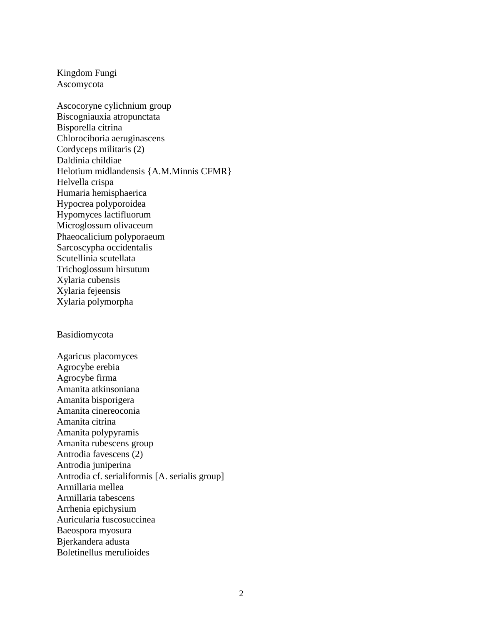Kingdom Fungi Ascomycota

Ascocoryne cylichnium group Biscogniauxia atropunctata Bisporella citrina Chlorociboria aeruginascens Cordyceps militaris (2) Daldinia childiae Helotium midlandensis {A.M.Minnis CFMR} Helvella crispa Humaria hemisphaerica Hypocrea polyporoidea Hypomyces lactifluorum Microglossum olivaceum Phaeocalicium polyporaeum Sarcoscypha occidentalis Scutellinia scutellata Trichoglossum hirsutum Xylaria cubensis Xylaria fejeensis Xylaria polymorpha

Basidiomycota

Agaricus placomyces Agrocybe erebia Agrocybe firma Amanita atkinsoniana Amanita bisporigera Amanita cinereoconia Amanita citrina Amanita polypyramis Amanita rubescens group Antrodia favescens (2) Antrodia juniperina Antrodia cf. serialiformis [A. serialis group] Armillaria mellea Armillaria tabescens Arrhenia epichysium Auricularia fuscosuccinea Baeospora myosura Bjerkandera adusta Boletinellus merulioides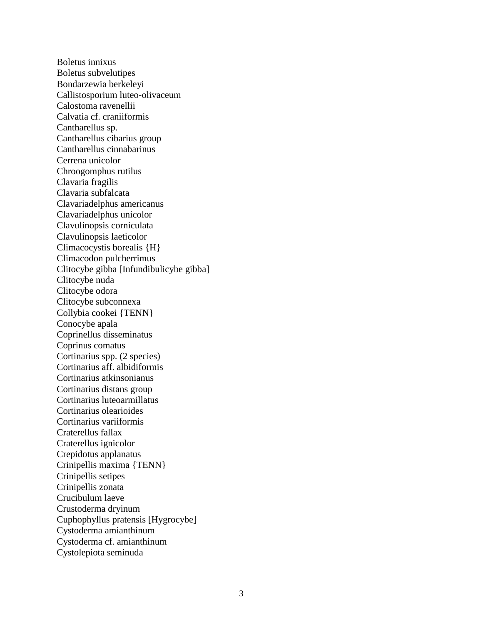Boletus innixus Boletus subvelutipes Bondarzewia berkeleyi Callistosporium luteo-olivaceum Calostoma ravenellii Calvatia cf. craniiformis Cantharellus sp. Cantharellus cibarius group Cantharellus cinnabarinus Cerrena unicolor Chroogomphus rutilus Clavaria fragilis Clavaria subfalcata Clavariadelphus americanus Clavariadelphus unicolor Clavulinopsis corniculata Clavulinopsis laeticolor Climacocystis borealis {H} Climacodon pulcherrimus Clitocybe gibba [Infundibulicybe gibba] Clitocybe nuda Clitocybe odora Clitocybe subconnexa Collybia cookei {TENN} Conocybe apala Coprinellus disseminatus Coprinus comatus Cortinarius spp. (2 species) Cortinarius aff. albidiformis Cortinarius atkinsonianus Cortinarius distans group Cortinarius luteoarmillatus Cortinarius olearioides Cortinarius variiformis Craterellus fallax Craterellus ignicolor Crepidotus applanatus Crinipellis maxima {TENN} Crinipellis setipes Crinipellis zonata Crucibulum laeve Crustoderma dryinum Cuphophyllus pratensis [Hygrocybe] Cystoderma amianthinum Cystoderma cf. amianthinum Cystolepiota seminuda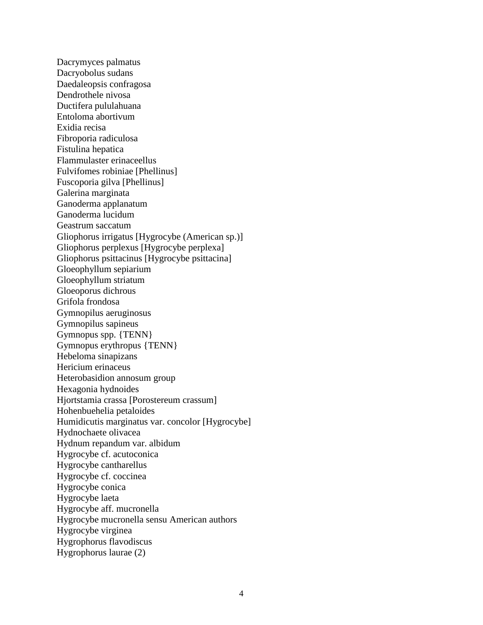Dacrymyces palmatus Dacryobolus sudans Daedaleopsis confragosa Dendrothele nivosa Ductifera pululahuana Entoloma abortivum Exidia recisa Fibroporia radiculosa Fistulina hepatica Flammulaster erinaceellus Fulvifomes robiniae [Phellinus] Fuscoporia gilva [Phellinus] Galerina marginata Ganoderma applanatum Ganoderma lucidum Geastrum saccatum Gliophorus irrigatus [Hygrocybe (American sp.)] Gliophorus perplexus [Hygrocybe perplexa] Gliophorus psittacinus [Hygrocybe psittacina] Gloeophyllum sepiarium Gloeophyllum striatum Gloeoporus dichrous Grifola frondosa Gymnopilus aeruginosus Gymnopilus sapineus Gymnopus spp. {TENN} Gymnopus erythropus {TENN} Hebeloma sinapizans Hericium erinaceus Heterobasidion annosum group Hexagonia hydnoides Hjortstamia crassa [Porostereum crassum] Hohenbuehelia petaloides Humidicutis marginatus var. concolor [Hygrocybe] Hydnochaete olivacea Hydnum repandum var. albidum Hygrocybe cf. acutoconica Hygrocybe cantharellus Hygrocybe cf. coccinea Hygrocybe conica Hygrocybe laeta Hygrocybe aff. mucronella Hygrocybe mucronella sensu American authors Hygrocybe virginea Hygrophorus flavodiscus Hygrophorus laurae (2)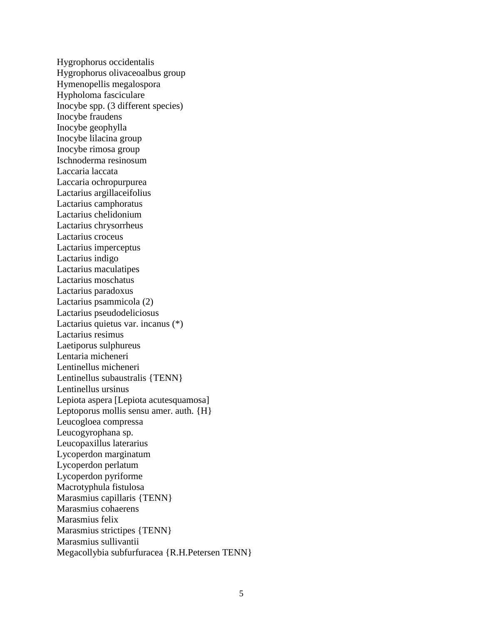Hygrophorus occidentalis Hygrophorus olivaceoalbus group Hymenopellis megalospora Hypholoma fasciculare Inocybe spp. (3 different species) Inocybe fraudens Inocybe geophylla Inocybe lilacina group Inocybe rimosa group Ischnoderma resinosum Laccaria laccata Laccaria ochropurpurea Lactarius argillaceifolius Lactarius camphoratus Lactarius chelidonium Lactarius chrysorrheus Lactarius croceus Lactarius imperceptus Lactarius indigo Lactarius maculatipes Lactarius moschatus Lactarius paradoxus Lactarius psammicola (2) Lactarius pseudodeliciosus Lactarius quietus var. incanus (\*) Lactarius resimus Laetiporus sulphureus Lentaria micheneri Lentinellus micheneri Lentinellus subaustralis {TENN} Lentinellus ursinus Lepiota aspera [Lepiota acutesquamosa] Leptoporus mollis sensu amer. auth. {H} Leucogloea compressa Leucogyrophana sp. Leucopaxillus laterarius Lycoperdon marginatum Lycoperdon perlatum Lycoperdon pyriforme Macrotyphula fistulosa Marasmius capillaris {TENN} Marasmius cohaerens Marasmius felix Marasmius strictipes {TENN} Marasmius sullivantii Megacollybia subfurfuracea {R.H.Petersen TENN}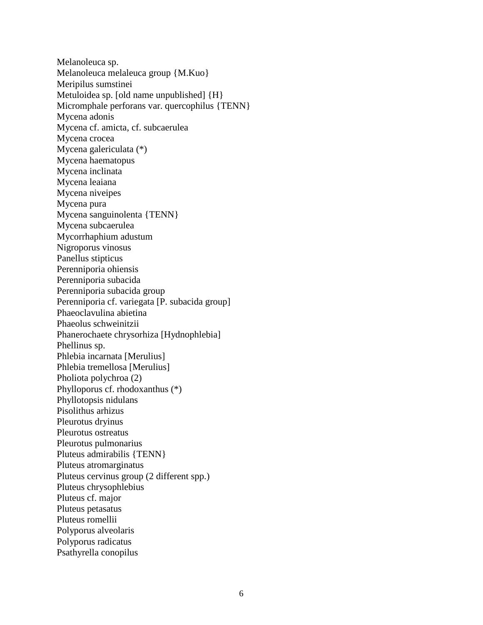Melanoleuca sp. Melanoleuca melaleuca group {M.Kuo} Meripilus sumstinei Metuloidea sp. [old name unpublished] {H} Micromphale perforans var. quercophilus {TENN} Mycena adonis Mycena cf. amicta, cf. subcaerulea Mycena crocea Mycena galericulata (\*) Mycena haematopus Mycena inclinata Mycena leaiana Mycena niveipes Mycena pura Mycena sanguinolenta {TENN} Mycena subcaerulea Mycorrhaphium adustum Nigroporus vinosus Panellus stipticus Perenniporia ohiensis Perenniporia subacida Perenniporia subacida group Perenniporia cf. variegata [P. subacida group] Phaeoclavulina abietina Phaeolus schweinitzii Phanerochaete chrysorhiza [Hydnophlebia] Phellinus sp. Phlebia incarnata [Merulius] Phlebia tremellosa [Merulius] Pholiota polychroa (2) Phylloporus cf. rhodoxanthus (\*) Phyllotopsis nidulans Pisolithus arhizus Pleurotus dryinus Pleurotus ostreatus Pleurotus pulmonarius Pluteus admirabilis {TENN} Pluteus atromarginatus Pluteus cervinus group (2 different spp.) Pluteus chrysophlebius Pluteus cf. major Pluteus petasatus Pluteus romellii Polyporus alveolaris Polyporus radicatus Psathyrella conopilus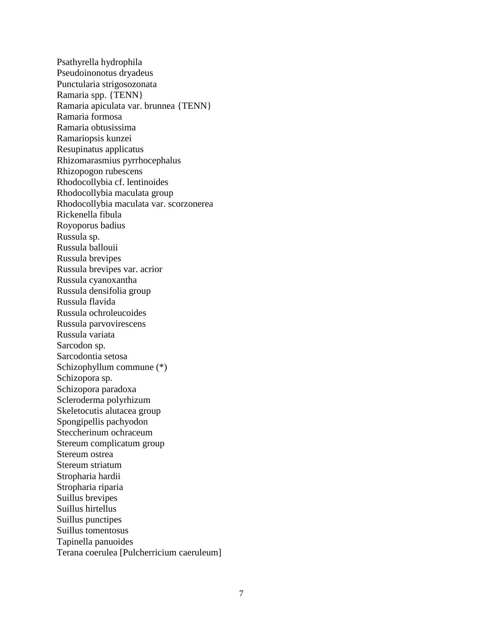Psathyrella hydrophila Pseudoinonotus dryadeus Punctularia strigosozonata Ramaria spp. {TENN} Ramaria apiculata var. brunnea {TENN} Ramaria formosa Ramaria obtusissima Ramariopsis kunzei Resupinatus applicatus Rhizomarasmius pyrrhocephalus Rhizopogon rubescens Rhodocollybia cf. lentinoides Rhodocollybia maculata group Rhodocollybia maculata var. scorzonerea Rickenella fibula Royoporus badius Russula sp. Russula ballouii Russula brevipes Russula brevipes var. acrior Russula cyanoxantha Russula densifolia group Russula flavida Russula ochroleucoides Russula parvovirescens Russula variata Sarcodon sp. Sarcodontia setosa Schizophyllum commune (\*) Schizopora sp. Schizopora paradoxa Scleroderma polyrhizum Skeletocutis alutacea group Spongipellis pachyodon Steccherinum ochraceum Stereum complicatum group Stereum ostrea Stereum striatum Stropharia hardii Stropharia riparia Suillus brevipes Suillus hirtellus Suillus punctipes Suillus tomentosus Tapinella panuoides Terana coerulea [Pulcherricium caeruleum]